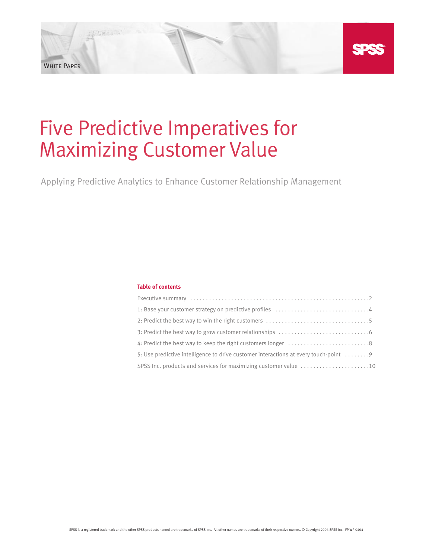# Five Predictive Imperatives for Maximizing Customer Value

White Paper

Applying Predictive Analytics to Enhance Customer Relationship Management

# **Table of contents**

| 5: Use predictive intelligence to drive customer interactions at every touch-point 9 |
|--------------------------------------------------------------------------------------|
| SPSS Inc. products and services for maximizing customer value 10                     |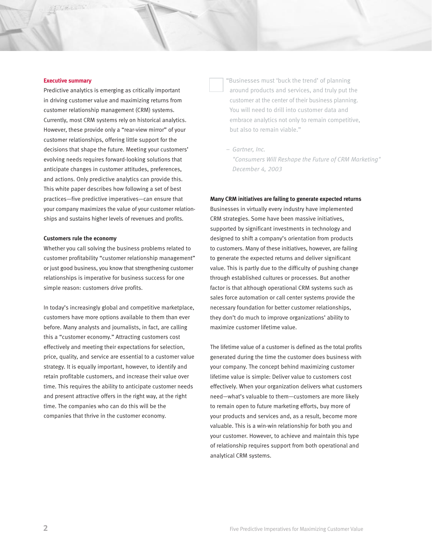#### **Executive summary**

Predictive analytics is emerging as critically important in driving customer value and maximizing returns from customer relationship management (CRM) systems. Currently, most CRM systems rely on historical analytics. However, these provide only a "rear-view mirror" of your customer relationships, offering little support for the decisions that shape the future. Meeting your customers' evolving needs requires forward-looking solutions that anticipate changes in customer attitudes, preferences, and actions. Only predictive analytics can provide this. This white paper describes how following a set of best practices—five predictive imperatives—can ensure that your company maximizes the value of your customer relationships and sustains higher levels of revenues and profits.

#### **Customers rule the economy**

Whether you call solving the business problems related to customer profitability "customer relationship management" or just good business, you know that strengthening customer relationships is imperative for business success for one simple reason: customers drive profits.

In today's increasingly global and competitive marketplace, customers have more options available to them than ever before. Many analysts and journalists, in fact, are calling this a "customer economy." Attracting customers cost effectively and meeting their expectations for selection, price, quality, and service are essential to a customer value strategy. It is equally important, however, to identify and retain profitable customers, and increase their value over time. This requires the ability to anticipate customer needs and present attractive offers in the right way, at the right time. The companies who can do this will be the companies that thrive in the customer economy.

"Businesses must 'buck the trend' of planning around products and services, and truly put the customer at the center of their business planning. You will need to drill into customer data and embrace analytics not only to remain competitive, but also to remain viable."

*– Gartner, Inc. "Consumers Will Reshape the Future of CRM Marketing" December 4, 2003*

#### **Many CRM initiatives are failing to generate expected returns**

Businesses in virtually every industry have implemented CRM strategies. Some have been massive initiatives, supported by significant investments in technology and designed to shift a company's orientation from products to customers. Many of these initiatives, however, are failing to generate the expected returns and deliver significant value. This is partly due to the difficulty of pushing change through established cultures or processes. But another factor is that although operational CRM systems such as sales force automation or call center systems provide the necessary foundation for better customer relationships, they don't do much to improve organizations' ability to maximize customer lifetime value.

The lifetime value of a customer is defined as the total profits generated during the time the customer does business with your company. The concept behind maximizing customer lifetime value is simple: Deliver value to customers cost effectively. When your organization delivers what customers need—what's valuable to them—customers are more likely to remain open to future marketing efforts, buy more of your products and services and, as a result, become more valuable. This is a win-win relationship for both you and your customer. However, to achieve and maintain this type of relationship requires support from both operational and analytical CRM systems.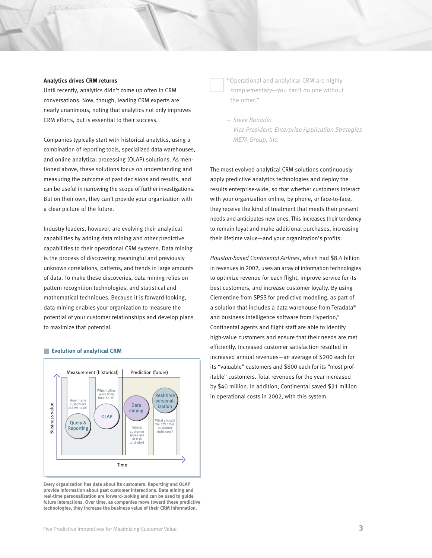## **Analytics drives CRM returns**

Vise could

Until recently, analytics didn't come up often in CRM conversations. Now, though, leading CRM experts are nearly unanimous, noting that analytics not only improves CRM efforts, but is essential to their success.

Companies typically start with historical analytics, using a combination of reporting tools, specialized data warehouses, and online analytical processing (OLAP) solutions. As mentioned above, these solutions focus on understanding and measuring the outcome of past decisions and results, and can be useful in narrowing the scope of further investigations. But on their own, they can't provide your organization with a clear picture of the future.

Industry leaders, however, are evolving their analytical capabilities by adding data mining and other predictive capabilities to their operational CRM systems. Data mining is the process of discovering meaningful and previously unknown correlations, patterns, and trends in large amounts of data. To make these discoveries, data mining relies on pattern recognition technologies, and statistical and mathematical techniques. Because it is forward-looking, data mining enables your organization to measure the potential of your customer relationships and develop plans to maximize that potential.



#### Evolution of analytical CRM

**Every organization has data about its customers. Reporting and OLAP provide information about past customer interactions. Data mining and real-time personalization are forward-looking and can be used to guide future interactions. Over time, as companies move toward these predictive technologies, they increase the business value of their CRM information.**

"Operational and analytical CRM are highly complementary—you can't do one without the other."

*– Steve Bonadio Vice President, Enterprise Application Strategies META Group, Inc.*

The most evolved analytical CRM solutions continuously apply predictive analytics technologies and deploy the results enterprise-wide, so that whether customers interact with your organization online, by phone, or face-to-face, they receive the kind of treatment that meets their present needs and anticipates new ones. This increases their tendency to remain loyal and make additional purchases, increasing their lifetime value—and your organization's profits.

*Houston-based Continental Airlines*, which had \$8.4 billion in revenues in 2002, uses an array of information technologies to optimize revenue for each flight, improve service for its best customers, and increase customer loyalty. By using Clementine from SPSS for predictive modeling, as part of a solution that includes a data warehouse from Teradata® and business intelligence software from Hyperion,® Continental agents and flight staff are able to identify high-value customers and ensure that their needs are met efficiently. Increased customer satisfaction resulted in increased annual revenues—an average of \$200 each for its "valuable" customers and \$800 each for its "most profitable" customers. Total revenues for the year increased by \$40 million. In addition, Continental saved \$31 million in operational costs in 2002, with this system.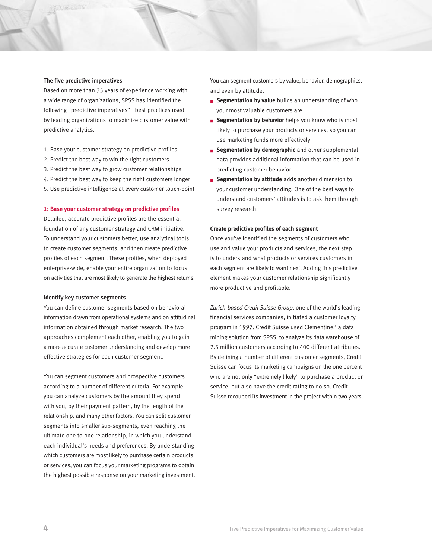#### **The five predictive imperatives**

Based on more than 35 years of experience working with a wide range of organizations, SPSS has identified the following "predictive imperatives"—best practices used by leading organizations to maximize customer value with predictive analytics.

- 1. Base your customer strategy on predictive profiles
- 2. Predict the best way to win the right customers
- 3. Predict the best way to grow customer relationships
- 4. Predict the best way to keep the right customers longer
- 5. Use predictive intelligence at every customer touch-point

#### **1: Base your customer strategy on predictive profiles**

Detailed, accurate predictive profiles are the essential foundation of any customer strategy and CRM initiative. To understand your customers better, use analytical tools to create customer segments, and then create predictive profiles of each segment. These profiles, when deployed enterprise-wide, enable your entire organization to focus on activities that are most likely to generate the highest returns.

#### **Identify key customer segments**

You can define customer segments based on behavioral information drawn from operational systems and on attitudinal information obtained through market research. The two approaches complement each other, enabling you to gain a more accurate customer understanding and develop more effective strategies for each customer segment.

You can segment customers and prospective customers according to a number of different criteria. For example, you can analyze customers by the amount they spend with you, by their payment pattern, by the length of the relationship, and many other factors. You can split customer segments into smaller sub-segments, even reaching the ultimate one-to-one relationship, in which you understand each individual's needs and preferences. By understanding which customers are most likely to purchase certain products or services, you can focus your marketing programs to obtain the highest possible response on your marketing investment. You can segment customers by value, behavior, demographics, and even by attitude.

- **Segmentation by value** builds an understanding of who your most valuable customers are
- **Example 3 Segmentation by behavior** helps you know who is most likely to purchase your products or services, so you can use marketing funds more effectively
- **Examplementation by demographic** and other supplemental data provides additional information that can be used in predicting customer behavior
- **Segmentation by attitude** adds another dimension to your customer understanding. One of the best ways to understand customers' attitudes is to ask them through survey research.

#### **Create predictive profiles of each segment**

Once you've identified the segments of customers who use and value your products and services, the next step is to understand what products or services customers in each segment are likely to want next. Adding this predictive element makes your customer relationship significantly more productive and profitable.

*Zurich-based Credit Suisse Group*, one of the world's leading financial services companies, initiated a customer loyalty program in 1997. Credit Suisse used Clementine,® a data mining solution from SPSS, to analyze its data warehouse of 2.5 million customers according to 400 different attributes. By defining a number of different customer segments, Credit Suisse can focus its marketing campaigns on the one percent who are not only "extremely likely" to purchase a product or service, but also have the credit rating to do so. Credit Suisse recouped its investment in the project within two years.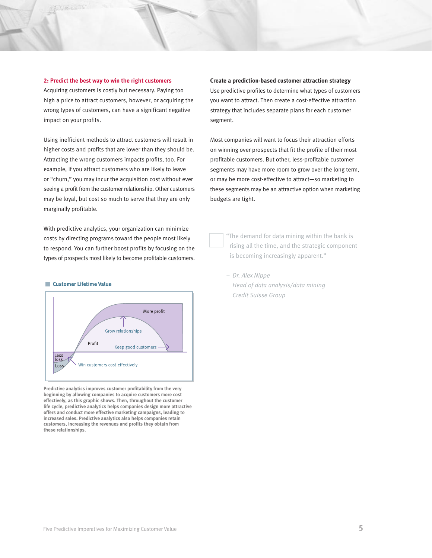#### **2: Predict the best way to win the right customers**

Use call

Acquiring customers is costly but necessary. Paying too high a price to attract customers, however, or acquiring the wrong types of customers, can have a significant negative impact on your profits.

Using inefficient methods to attract customers will result in higher costs and profits that are lower than they should be. Attracting the wrong customers impacts profits, too. For example, if you attract customers who are likely to leave or "churn," you may incur the acquisition cost without ever seeing a profit from the customer relationship. Other customers may be loyal, but cost so much to serve that they are only marginally profitable.

With predictive analytics, your organization can minimize costs by directing programs toward the people most likely to respond. You can further boost profits by focusing on the types of prospects most likely to become profitable customers.

#### **Customer Lifetime Value**



**Predictive analytics improves customer profitability from the very beginning by allowing companies to acquire customers more cost effectively, as this graphic shows. Then, throughout the customer life cycle, predictive analytics helps companies design more attractive offers and conduct more effective marketing campaigns, leading to increased sales. Predictive analytics also helps companies retain customers, increasing the revenues and profits they obtain from these relationships.**

#### **Create a prediction-based customer attraction strategy**

Use predictive profiles to determine what types of customers you want to attract. Then create a cost-effective attraction strategy that includes separate plans for each customer segment.

Most companies will want to focus their attraction efforts on winning over prospects that fit the profile of their most profitable customers. But other, less-profitable customer segments may have more room to grow over the long term, or may be more cost-effective to attract—so marketing to these segments may be an attractive option when marketing budgets are tight.

> "The demand for data mining within the bank is rising all the time, and the strategic component is becoming increasingly apparent."

*– Dr. Alex Nippe Head of data analysis/data mining Credit Suisse Group*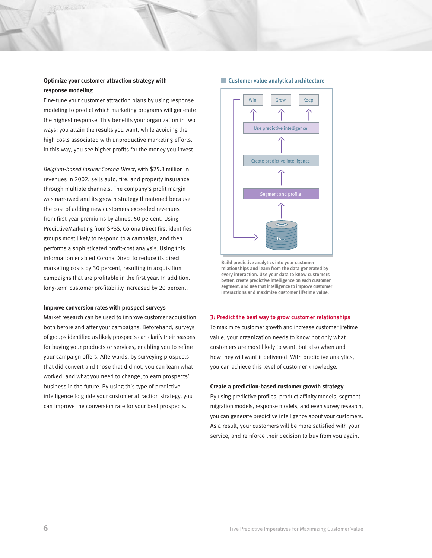# **Optimize your customer attraction strategy with response modeling**

 $100 - 10$ 

Fine-tune your customer attraction plans by using response modeling to predict which marketing programs will generate the highest response. This benefits your organization in two ways: you attain the results you want, while avoiding the high costs associated with unproductive marketing efforts. In this way, you see higher profits for the money you invest.

*Belgium-based insurer Corona Direct*, with \$25.8 million in revenues in 2002, sells auto, fire, and property insurance through multiple channels. The company's profit margin was narrowed and its growth strategy threatened because the cost of adding new customers exceeded revenues from first-year premiums by almost 50 percent. Using PredictiveMarketing from SPSS, Corona Direct first identifies groups most likely to respond to a campaign, and then performs a sophisticated profit-cost analysis. Using this information enabled Corona Direct to reduce its direct marketing costs by 30 percent, resulting in acquisition campaigns that are profitable in the first year. In addition, long-term customer profitability increased by 20 percent.

#### **Improve conversion rates with prospect surveys**

Market research can be used to improve customer acquisition both before and after your campaigns. Beforehand, surveys of groups identified as likely prospects can clarify their reasons for buying your products or services, enabling you to refine your campaign offers. Afterwards, by surveying prospects that did convert and those that did not, you can learn what worked, and what you need to change, to earn prospects' business in the future. By using this type of predictive intelligence to guide your customer attraction strategy, you can improve the conversion rate for your best prospects.

#### **Customer value analytical architecture**



**Build predictive analytics into your customer relationships and learn from the data generated by every interaction. Use your data to know customers better, create predictive intelligence on each customer segment, and use that intelligence to improve customer interactions and maximize customer lifetime value.**

#### **3: Predict the best way to grow customer relationships**

To maximize customer growth and increase customer lifetime value, your organization needs to know not only what customers are most likely to want, but also when and how they will want it delivered. With predictive analytics, you can achieve this level of customer knowledge.

#### **Create a prediction-based customer growth strategy**

By using predictive profiles, product-affinity models, segmentmigration models, response models, and even survey research, you can generate predictive intelligence about your customers. As a result, your customers will be more satisfied with your service, and reinforce their decision to buy from you again.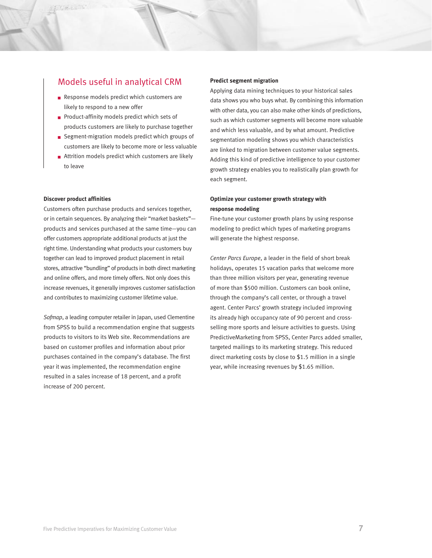# Models useful in analytical CRM

- Response models predict which customers are likely to respond to a new offer
- Product-affinity models predict which sets of products customers are likely to purchase together
- Segment-migration models predict which groups of customers are likely to become more or less valuable
- Attrition models predict which customers are likely to leave

#### **Discover product affinities**

Customers often purchase products and services together, or in certain sequences. By analyzing their "market baskets" products and services purchased at the same time—you can offer customers appropriate additional products at just the right time. Understanding what products your customers buy together can lead to improved product placement in retail stores, attractive "bundling" of products in both direct marketing and online offers, and more timely offers. Not only does this increase revenues, it generally improves customer satisfaction and contributes to maximizing customer lifetime value.

*Sofmap*, a leading computer retailer in Japan, used Clementine from SPSS to build a recommendation engine that suggests products to visitors to its Web site. Recommendations are based on customer profiles and information about prior purchases contained in the company's database. The first year it was implemented, the recommendation engine resulted in a sales increase of 18 percent, and a profit increase of 200 percent.

## **Predict segment migration**

Applying data mining techniques to your historical sales data shows you who buys what. By combining this information with other data, you can also make other kinds of predictions, such as which customer segments will become more valuable and which less valuable, and by what amount. Predictive segmentation modeling shows you which characteristics are linked to migration between customer value segments. Adding this kind of predictive intelligence to your customer growth strategy enables you to realistically plan growth for each segment.

# **Optimize your customer growth strategy with response modeling**

Fine-tune your customer growth plans by using response modeling to predict which types of marketing programs will generate the highest response.

*Center Parcs Europe*, a leader in the field of short break holidays, operates 15 vacation parks that welcome more than three million visitors per year, generating revenue of more than \$500 million. Customers can book online, through the company's call center, or through a travel agent. Center Parcs' growth strategy included improving its already high occupancy rate of 90 percent and crossselling more sports and leisure activities to guests. Using PredictiveMarketing from SPSS, Center Parcs added smaller, targeted mailings to its marketing strategy. This reduced direct marketing costs by close to \$1.5 million in a single year, while increasing revenues by \$1.65 million.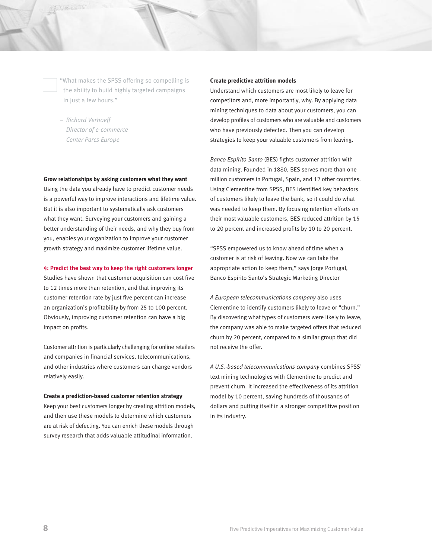"What makes the SPSS offering so compelling is the ability to build highly targeted campaigns in just a few hours."

*– Richard Verhoeff Director of e-commerce Center Parcs Europe*

#### **Grow relationships by asking customers what they want**

Using the data you already have to predict customer needs is a powerful way to improve interactions and lifetime value. But it is also important to systematically ask customers what they want. Surveying your customers and gaining a better understanding of their needs, and why they buy from you, enables your organization to improve your customer growth strategy and maximize customer lifetime value.

#### **4: Predict the best way to keep the right customers longer**

Studies have shown that customer acquisition can cost five to 12 times more than retention, and that improving its customer retention rate by just five percent can increase an organization's profitability by from 25 to 100 percent. Obviously, improving customer retention can have a big impact on profits.

Customer attrition is particularly challenging for online retailers and companies in financial services, telecommunications, and other industries where customers can change vendors relatively easily.

### **Create a prediction-based customer retention strategy**

Keep your best customers longer by creating attrition models, and then use these models to determine which customers are at risk of defecting. You can enrich these models through survey research that adds valuable attitudinal information.

#### **Create predictive attrition models**

Understand which customers are most likely to leave for competitors and, more importantly, why. By applying data mining techniques to data about your customers, you can develop profiles of customers who are valuable and customers who have previously defected. Then you can develop strategies to keep your valuable customers from leaving.

*Banco Espírito Santo* (BES) fights customer attrition with data mining. Founded in 1880, BES serves more than one million customers in Portugal, Spain, and 12 other countries. Using Clementine from SPSS, BES identified key behaviors of customers likely to leave the bank, so it could do what was needed to keep them. By focusing retention efforts on their most valuable customers, BES reduced attrition by 15 to 20 percent and increased profits by 10 to 20 percent.

"SPSS empowered us to know ahead of time when a customer is at risk of leaving. Now we can take the appropriate action to keep them," says Jorge Portugal, Banco Espírito Santo's Strategic Marketing Director

*A European telecommunications company* also uses Clementine to identify customers likely to leave or "churn." By discovering what types of customers were likely to leave, the company was able to make targeted offers that reduced churn by 20 percent, compared to a similar group that did not receive the offer.

*A U.S.-based telecommunications company* combines SPSS' text mining technologies with Clementine to predict and prevent churn. It increased the effectiveness of its attrition model by 10 percent, saving hundreds of thousands of dollars and putting itself in a stronger competitive position in its industry.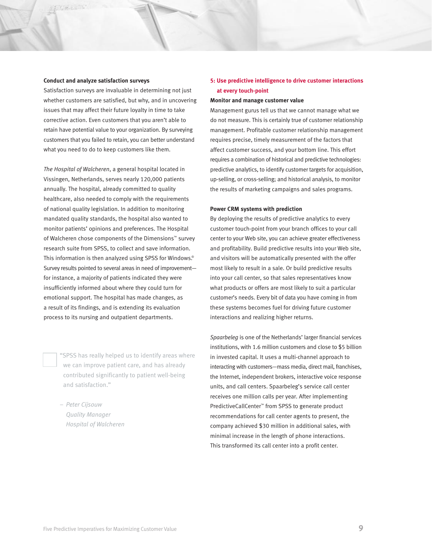#### **Conduct and analyze satisfaction surveys**

Satisfaction surveys are invaluable in determining not just whether customers are satisfied, but why, and in uncovering issues that may affect their future loyalty in time to take corrective action. Even customers that you aren't able to retain have potential value to your organization. By surveying customers that you failed to retain, you can better understand what you need to do to keep customers like them.

*The Hospital of Walcheren*, a general hospital located in Vissingen, Netherlands, serves nearly 120,000 patients annually. The hospital, already committed to quality healthcare, also needed to comply with the requirements of national quality legislation. In addition to monitoring mandated quality standards, the hospital also wanted to monitor patients' opinions and preferences. The Hospital of Walcheren chose components of the Dimensions™ survey research suite from SPSS, to collect and save information. This information is then analyzed using SPSS for Windows.® Survey results pointed to several areas in need of improvement for instance, a majority of patients indicated they were insufficiently informed about where they could turn for emotional support. The hospital has made changes, as a result of its findings, and is extending its evaluation process to its nursing and outpatient departments.

> "SPSS has really helped us to identify areas where we can improve patient care, and has already contributed significantly to patient well-being and satisfaction."

*– Peter Cijsouw Quality Manager Hospital of Walcheren*

# **5: Use predictive intelligence to drive customer interactions at every touch-point**

#### **Monitor and manage customer value**

Management gurus tell us that we cannot manage what we do not measure. This is certainly true of customer relationship management. Profitable customer relationship management requires precise, timely measurement of the factors that affect customer success, and your bottom line. This effort requires a combination of historical and predictive technologies: predictive analytics, to identify customer targets for acquisition, up-selling, or cross-selling; and historical analysis, to monitor the results of marketing campaigns and sales programs.

#### **Power CRM systems with prediction**

By deploying the results of predictive analytics to every customer touch-point from your branch offices to your call center to your Web site, you can achieve greater effectiveness and profitability. Build predictive results into your Web site, and visitors will be automatically presented with the offer most likely to result in a sale. Or build predictive results into your call center, so that sales representatives know what products or offers are most likely to suit a particular customer's needs. Every bit of data you have coming in from these systems becomes fuel for driving future customer interactions and realizing higher returns.

*Spaarbeleg* is one of the Netherlands' larger financial services institutions, with 1.6 million customers and close to \$5 billion in invested capital. It uses a multi-channel approach to interacting with customers—mass media, direct mail, franchises, the Internet, independent brokers, interactive voice response units, and call centers. Spaarbeleg's service call center receives one million calls per year. After implementing PredictiveCallCenter™ from SPSS to generate product recommendations for call center agents to present, the company achieved \$30 million in additional sales, with minimal increase in the length of phone interactions. This transformed its call center into a profit center.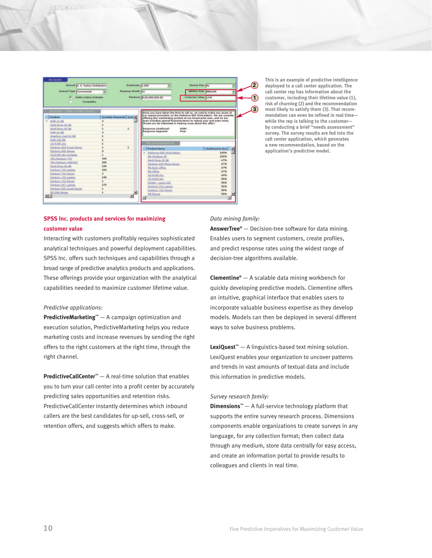| <b>Account Type Commercial</b>                |                           | Revenue Growth 22 |                                                           | <b>Attrition Risk MEDIUM</b>                                                                                                                      |  |
|-----------------------------------------------|---------------------------|-------------------|-----------------------------------------------------------|---------------------------------------------------------------------------------------------------------------------------------------------------|--|
| <b>Public Listing Indicator</b><br>Competitor |                           |                   | Revenue \$120,000,000.00                                  | Customer Value & OW                                                                                                                               |  |
| <b>Account - Sales Order Henry</b>            |                           |                   |                                                           | Since you have taken the time to call us, we want to make you aware of                                                                            |  |
| Product                                       | Quantity Requeste- Quar * |                   |                                                           | our special promotion on the Performa 800 Workstation. We are currently<br>offering this outstanding product at our lowest price ever, and we are |  |
| <b>RAM 16 MB</b>                              |                           |                   | Would you be interested in hearing more about this offer? | leven including special financing terms to reduce your cost even more.                                                                            |  |
| Hard Drive 10 GB                              |                           |                   |                                                           |                                                                                                                                                   |  |
| Hard Drive 30 GB                              | 1                         |                   | Response Likelihood:                                      | HIGH<br>Price                                                                                                                                     |  |
| <b>RAM 16 MB</b>                              |                           |                   | Response Segment:                                         |                                                                                                                                                   |  |
| Graphics Card 32 MB                           |                           |                   |                                                           |                                                                                                                                                   |  |
| <b>RAM 128 MB</b>                             |                           |                   |                                                           |                                                                                                                                                   |  |
| CD-ROM 24x                                    |                           |                   | ecommendatio                                              |                                                                                                                                                   |  |
| Rentium 600 Quad Server                       | z.                        |                   | <b>Product Name</b>                                       | Likelihood to buy                                                                                                                                 |  |
| Pentium 800 Server                            |                           |                   | Performa 800 Workstation                                  | 100%                                                                                                                                              |  |
| <b>CO-ROM 48x Portable</b>                    |                           |                   | <b>MS Windows NT</b>                                      | 100%                                                                                                                                              |  |
| CPU Pentium 733                               | 400                       |                   | Hard Drive 35 GB                                          | 67%                                                                                                                                               |  |
| CRU Pentium, 400/433                          | 200                       |                   | Pantium 600 Mega Server                                   | 67%                                                                                                                                               |  |
| Hard Drive 30 GB                              | 1.00                      |                   | ME Back Office                                            | 67%                                                                                                                                               |  |
| Rentium 733 Lapton                            | 200                       |                   | MS_Office                                                 | 67%                                                                                                                                               |  |
| Pentium 733 Server                            | ż                         |                   | CD-ROM 32x                                                | 60%                                                                                                                                               |  |
| Pentium 733 Laptop                            | 150                       |                   | CD-ROM 48x                                                | 50%                                                                                                                                               |  |
| Pantium 733 Server                            | $\pm$                     |                   | Printer - Laser 100                                       | 50%                                                                                                                                               |  |
|                                               | 275                       |                   | Pentium 733 Leptop                                        | 50%                                                                                                                                               |  |
| Pentium 667 Laptop                            |                           |                   |                                                           |                                                                                                                                                   |  |
| Pentium 600 Quad Server                       |                           |                   | Pentium 722 Server                                        | 50%                                                                                                                                               |  |

**This is an example of predictive intelligence deployed to a call center application. The call center rep has information about the customer, including their lifetime value (1), risk of churning (2) and the recommendation most likely to satisfy them (3). That recommendation can even be refined in real time while the rep is talking to the customer by conducting a brief "needs assessment" survey. The survey results are fed into the call center application, which generates a new recommendation, based on the application's predictive model.**

# **SPSS Inc. products and services for maximizing customer value**

Interacting with customers profitably requires sophisticated analytical techniques and powerful deployment capabilities. SPSS Inc. offers such techniques and capabilities through a broad range of predictive analytics products and applications. These offerings provide your organization with the analytical capabilities needed to maximize customer lifetime value.

## *Predictive applications:*

 $159 - 11$ 

**PredictiveMarketing™** — A campaign optimization and execution solution, PredictiveMarketing helps you reduce marketing costs and increase revenues by sending the right offers to the right customers at the right time, through the right channel.

**PredictiveCallCenter™** — A real-time solution that enables you to turn your call center into a profit center by accurately predicting sales opportunities and retention risks. PredictiveCallCenter instantly determines which inbound callers are the best candidates for up-sell, cross-sell, or retention offers, and suggests which offers to make.

#### *Data mining family:*

**AnswerTree®** — Decision-tree software for data mining. Enables users to segment customers, create profiles, and predict response rates using the widest range of decision-tree algorithms available.

**Clementine®** — A scalable data mining workbench for quickly developing predictive models. Clementine offers an intuitive, graphical interface that enables users to incorporate valuable business expertise as they develop models. Models can then be deployed in several different ways to solve business problems.

**LexiQuest™** — A linguistics-based text mining solution. LexiQuest enables your organization to uncover patterns and trends in vast amounts of textual data and include this information in predictive models.

#### *Survey research family:*

**Dimensions™** — A full-service technology platform that supports the entire survey research process. Dimensions components enable organizations to create surveys in any language, for any collection format; then collect data through any medium, store data centrally for easy access, and create an information portal to provide results to colleagues and clients in real time.